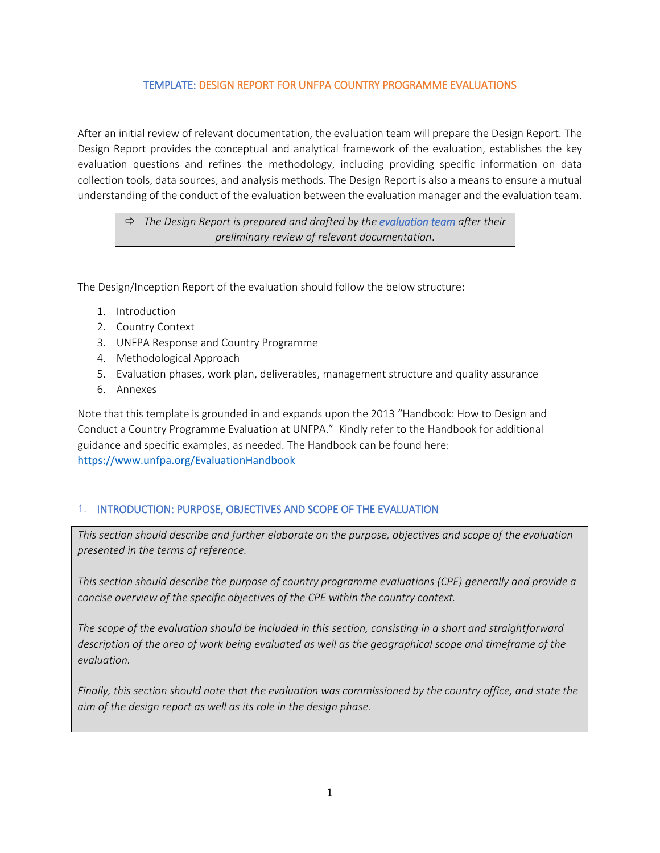#### TEMPLATE: DESIGN REPORT FOR UNFPA COUNTRY PROGRAMME EVALUATIONS

After an initial review of relevant documentation, the evaluation team will prepare the Design Report. The Design Report provides the conceptual and analytical framework of the evaluation, establishes the key evaluation questions and refines the methodology, including providing specific information on data collection tools, data sources, and analysis methods. The Design Report is also a means to ensure a mutual understanding of the conduct of the evaluation between the evaluation manager and the evaluation team.

 *The Design Report is prepared and drafted by the evaluation team after their preliminary review of relevant documentation*.

The Design/Inception Report of the evaluation should follow the below structure:

- 1. Introduction
- 2. Country Context
- 3. UNFPA Response and Country Programme
- 4. Methodological Approach
- 5. Evaluation phases, work plan, deliverables, management structure and quality assurance
- 6. Annexes

Note that this template is grounded in and expands upon the 2013 "Handbook: How to Design and Conduct a Country Programme Evaluation at UNFPA." Kindly refer to the Handbook for additional guidance and specific examples, as needed. The Handbook can be found here: <https://www.unfpa.org/EvaluationHandbook>

# 1. INTRODUCTION: PURPOSE, OBJECTIVES AND SCOPE OF THE EVALUATION

*This section should describe and further elaborate on the purpose, objectives and scope of the evaluation presented in the terms of reference.* 

*This section should describe the purpose of country programme evaluations (CPE) generally and provide a concise overview of the specific objectives of the CPE within the country context.*

*The scope of the evaluation should be included in this section, consisting in a short and straightforward description of the area of work being evaluated as well as the geographical scope and timeframe of the evaluation.*

*Finally, this section should note that the evaluation was commissioned by the country office, and state the aim of the design report as well as its role in the design phase.*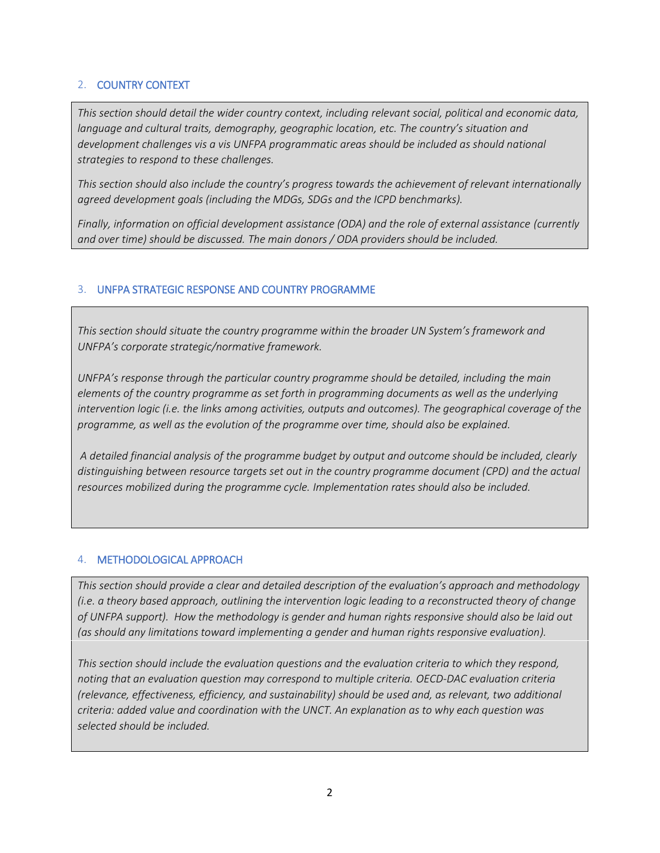# 2. COUNTRY CONTEXT

*This section should detail the wider country context, including relevant social, political and economic data, language and cultural traits, demography, geographic location, etc. The country's situation and development challenges vis a vis UNFPA programmatic areas should be included as should national strategies to respond to these challenges.*

*This section should also include the country's progress towards the achievement of relevant internationally agreed development goals (including the MDGs, SDGs and the ICPD benchmarks).*

*Finally, information on official development assistance (ODA) and the role of external assistance (currently and over time) should be discussed. The main donors / ODA providers should be included.*

# 3. UNFPA STRATEGIC RESPONSE AND COUNTRY PROGRAMME

*This section should situate the country programme within the broader UN System's framework and UNFPA's corporate strategic/normative framework.*

*UNFPA's response through the particular country programme should be detailed, including the main elements of the country programme as set forth in programming documents as well as the underlying intervention logic (i.e. the links among activities, outputs and outcomes). The geographical coverage of the programme, as well as the evolution of the programme over time, should also be explained.*

*A detailed financial analysis of the programme budget by output and outcome should be included, clearly distinguishing between resource targets set out in the country programme document (CPD) and the actual resources mobilized during the programme cycle. Implementation rates should also be included.* 

# 4. METHODOLOGICAL APPROACH

*This section should provide a clear and detailed description of the evaluation's approach and methodology (i.e. a theory based approach, outlining the intervention logic leading to a reconstructed theory of change of UNFPA support). How the methodology is gender and human rights responsive should also be laid out (as should any limitations toward implementing a gender and human rights responsive evaluation).*

*This section should include the evaluation questions and the evaluation criteria to which they respond, noting that an evaluation question may correspond to multiple criteria. OECD-DAC evaluation criteria (relevance, effectiveness, efficiency, and sustainability) should be used and, as relevant, two additional criteria: added value and coordination with the UNCT. An explanation as to why each question was selected should be included.*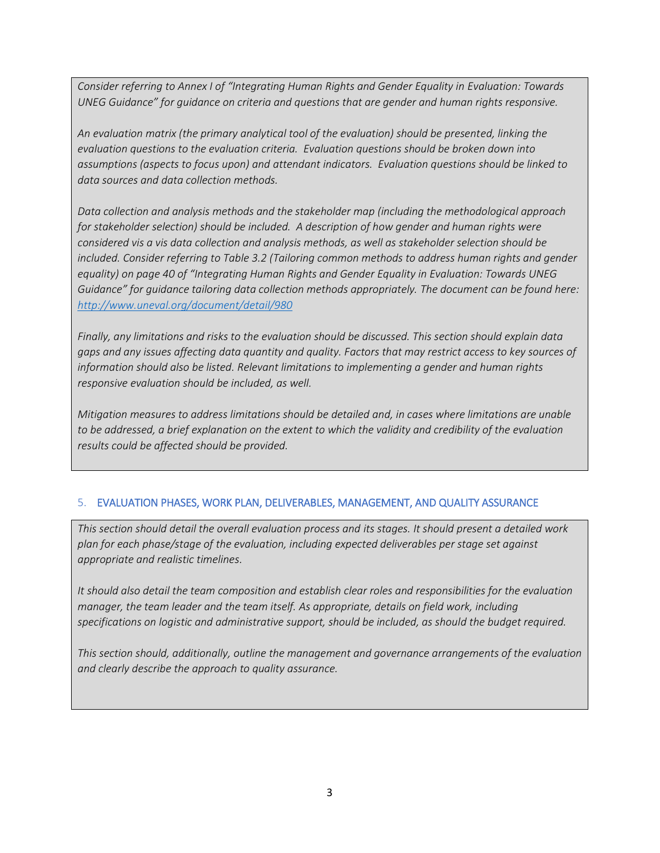*Consider referring to Annex I of "Integrating Human Rights and Gender Equality in Evaluation: Towards UNEG Guidance" for guidance on criteria and questions that are gender and human rights responsive.*

*An evaluation matrix (the primary analytical tool of the evaluation) should be presented, linking the evaluation questions to the evaluation criteria. Evaluation questions should be broken down into assumptions (aspects to focus upon) and attendant indicators. Evaluation questions should be linked to data sources and data collection methods.* 

*Data collection and analysis methods and the stakeholder map (including the methodological approach for stakeholder selection) should be included. A description of how gender and human rights were considered vis a vis data collection and analysis methods, as well as stakeholder selection should be included. Consider referring to Table 3.2 (Tailoring common methods to address human rights and gender equality) on page 40 of "Integrating Human Rights and Gender Equality in Evaluation: Towards UNEG Guidance" for guidance tailoring data collection methods appropriately. The document can be found here: <http://www.uneval.org/document/detail/980>*

*Finally, any limitations and risks to the evaluation should be discussed. This section should explain data gaps and any issues affecting data quantity and quality. Factors that may restrict access to key sources of information should also be listed. Relevant limitations to implementing a gender and human rights responsive evaluation should be included, as well.*

*Mitigation measures to address limitations should be detailed and, in cases where limitations are unable to be addressed, a brief explanation on the extent to which the validity and credibility of the evaluation results could be affected should be provided.*

# 5. EVALUATION PHASES, WORK PLAN, DELIVERABLES, MANAGEMENT, AND QUALITY ASSURANCE

*This section should detail the overall evaluation process and its stages. It should present a detailed work plan for each phase/stage of the evaluation, including expected deliverables per stage set against appropriate and realistic timelines.*

*It should also detail the team composition and establish clear roles and responsibilities for the evaluation manager, the team leader and the team itself. As appropriate, details on field work, including specifications on logistic and administrative support, should be included, as should the budget required.*

*This section should, additionally, outline the management and governance arrangements of the evaluation and clearly describe the approach to quality assurance.*